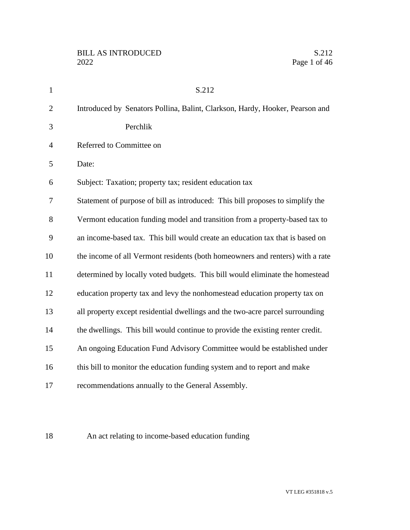| $\mathbf{1}$   | S.212                                                                          |
|----------------|--------------------------------------------------------------------------------|
| $\overline{2}$ | Introduced by Senators Pollina, Balint, Clarkson, Hardy, Hooker, Pearson and   |
| 3              | Perchlik                                                                       |
| $\overline{4}$ | Referred to Committee on                                                       |
| 5              | Date:                                                                          |
| 6              | Subject: Taxation; property tax; resident education tax                        |
| 7              | Statement of purpose of bill as introduced: This bill proposes to simplify the |
| 8              | Vermont education funding model and transition from a property-based tax to    |
| 9              | an income-based tax. This bill would create an education tax that is based on  |
| 10             | the income of all Vermont residents (both homeowners and renters) with a rate  |
| 11             | determined by locally voted budgets. This bill would eliminate the homestead   |
| 12             | education property tax and levy the nonhomestead education property tax on     |
| 13             | all property except residential dwellings and the two-acre parcel surrounding  |
| 14             | the dwellings. This bill would continue to provide the existing renter credit. |
| 15             | An ongoing Education Fund Advisory Committee would be established under        |
| 16             | this bill to monitor the education funding system and to report and make       |
| 17             | recommendations annually to the General Assembly.                              |
|                |                                                                                |

An act relating to income-based education funding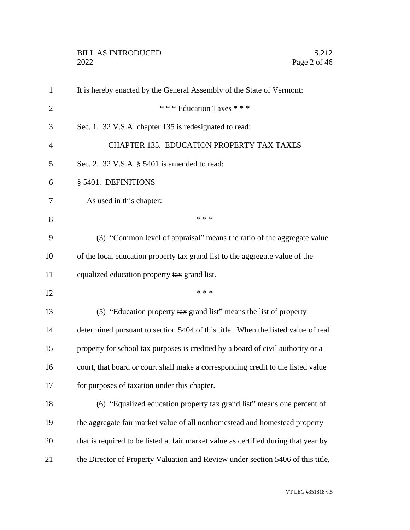| $\mathbf{1}$   | It is hereby enacted by the General Assembly of the State of Vermont:               |
|----------------|-------------------------------------------------------------------------------------|
| $\overline{2}$ | *** Education Taxes ***                                                             |
| 3              | Sec. 1. 32 V.S.A. chapter 135 is redesignated to read:                              |
| $\overline{4}$ | CHAPTER 135. EDUCATION PROPERTY TAX TAXES                                           |
| 5              | Sec. 2. 32 V.S.A. § 5401 is amended to read:                                        |
| 6              | § 5401. DEFINITIONS                                                                 |
| 7              | As used in this chapter:                                                            |
| 8              | * * *                                                                               |
| 9              | (3) "Common level of appraisal" means the ratio of the aggregate value              |
| 10             | of the local education property tax grand list to the aggregate value of the        |
| 11             | equalized education property tax grand list.                                        |
| 12             | * * *                                                                               |
| 13             | (5) "Education property tax grand list" means the list of property                  |
| 14             | determined pursuant to section 5404 of this title. When the listed value of real    |
| 15             | property for school tax purposes is credited by a board of civil authority or a     |
| 16             | court, that board or court shall make a corresponding credit to the listed value    |
| 17             | for purposes of taxation under this chapter.                                        |
| 18             | (6) "Equalized education property $\frac{1}{4}$ grand list" means one percent of    |
| 19             | the aggregate fair market value of all nonhomestead and homestead property          |
| 20             | that is required to be listed at fair market value as certified during that year by |
| 21             | the Director of Property Valuation and Review under section 5406 of this title,     |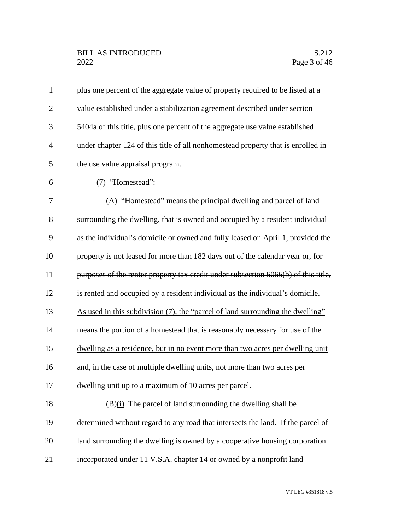## BILL AS INTRODUCED<br>2022 Page 3 of 46

| $\mathbf{1}$   | plus one percent of the aggregate value of property required to be listed at a     |
|----------------|------------------------------------------------------------------------------------|
| $\overline{2}$ | value established under a stabilization agreement described under section          |
| 3              | 5404a of this title, plus one percent of the aggregate use value established       |
| $\overline{4}$ | under chapter 124 of this title of all nonhomestead property that is enrolled in   |
| 5              | the use value appraisal program.                                                   |
| 6              | (7) "Homestead":                                                                   |
| 7              | (A) "Homestead" means the principal dwelling and parcel of land                    |
| 8              | surrounding the dwelling, that is owned and occupied by a resident individual      |
| 9              | as the individual's domicile or owned and fully leased on April 1, provided the    |
| 10             | property is not leased for more than 182 days out of the calendar year or, for     |
| 11             | purposes of the renter property tax credit under subsection 6066(b) of this title, |
| 12             | is rented and occupied by a resident individual as the individual's domicile.      |
| 13             | As used in this subdivision (7), the "parcel of land surrounding the dwelling"     |
| 14             | means the portion of a homestead that is reasonably necessary for use of the       |
| 15             | dwelling as a residence, but in no event more than two acres per dwelling unit     |
| 16             | and, in the case of multiple dwelling units, not more than two acres per           |
| 17             | dwelling unit up to a maximum of 10 acres per parcel.                              |
| 18             | $(B)(i)$ The parcel of land surrounding the dwelling shall be                      |
| 19             | determined without regard to any road that intersects the land. If the parcel of   |
| 20             | land surrounding the dwelling is owned by a cooperative housing corporation        |
| 21             | incorporated under 11 V.S.A. chapter 14 or owned by a nonprofit land               |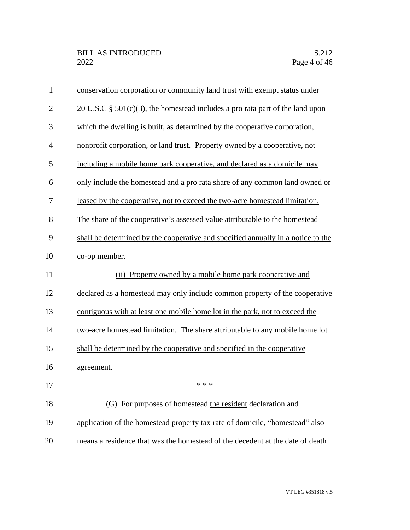| $\mathbf{1}$   | conservation corporation or community land trust with exempt status under        |
|----------------|----------------------------------------------------------------------------------|
| $\overline{2}$ | 20 U.S.C $\S$ 501(c)(3), the homestead includes a pro rata part of the land upon |
| 3              | which the dwelling is built, as determined by the cooperative corporation,       |
| $\overline{4}$ | nonprofit corporation, or land trust. Property owned by a cooperative, not       |
| 5              | including a mobile home park cooperative, and declared as a domicile may         |
| 6              | only include the homestead and a pro rata share of any common land owned or      |
| 7              | leased by the cooperative, not to exceed the two-acre homestead limitation.      |
| 8              | The share of the cooperative's assessed value attributable to the homestead      |
| 9              | shall be determined by the cooperative and specified annually in a notice to the |
| 10             | co-op member.                                                                    |
| 11             | (ii) Property owned by a mobile home park cooperative and                        |
| 12             | declared as a homestead may only include common property of the cooperative      |
| 13             | contiguous with at least one mobile home lot in the park, not to exceed the      |
| 14             | two-acre homestead limitation. The share attributable to any mobile home lot     |
| 15             | shall be determined by the cooperative and specified in the cooperative          |
| 16             | agreement.                                                                       |
| 17             | * * *                                                                            |
| 18             | (G) For purposes of homestead the resident declaration and                       |
| 19             | application of the homestead property tax rate of domicile, "homestead" also     |
| 20             | means a residence that was the homestead of the decedent at the date of death    |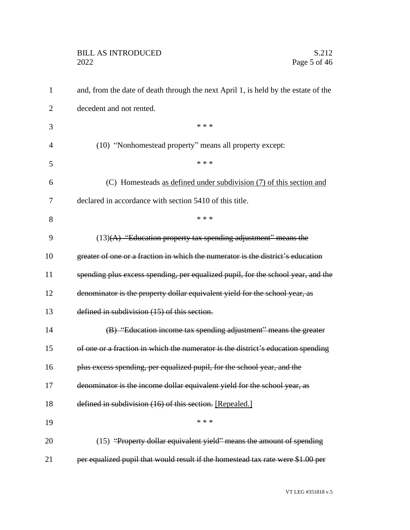| $\mathbf{1}$   | and, from the date of death through the next April 1, is held by the estate of the |
|----------------|------------------------------------------------------------------------------------|
| $\overline{2}$ | decedent and not rented.                                                           |
| 3              | * * *                                                                              |
| $\overline{4}$ | (10) "Nonhomestead property" means all property except:                            |
| 5              | * * *                                                                              |
| 6              | (C) Homesteads as defined under subdivision (7) of this section and                |
| 7              | declared in accordance with section 5410 of this title.                            |
| 8              | * * *                                                                              |
| 9              | $(13)(A)$ "Education property tax spending adjustment" means the                   |
| 10             | greater of one or a fraction in which the numerator is the district's education    |
| 11             | spending plus excess spending, per equalized pupil, for the school year, and the   |
| 12             | denominator is the property dollar equivalent yield for the school year, as        |
| 13             | defined in subdivision (15) of this section.                                       |
| 14             | (B) "Education income tax spending adjustment" means the greater                   |
| 15             | of one or a fraction in which the numerator is the district's education spending   |
| 16             | plus excess spending, per equalized pupil, for the school year, and the            |
| 17             | denominator is the income dollar equivalent yield for the school year, as          |
| 18             | defined in subdivision (16) of this section. [Repealed.]                           |
| 19             | * * *                                                                              |
| 20             | (15) "Property dollar equivalent yield" means the amount of spending               |
| 21             | per equalized pupil that would result if the homestead tax rate were \$1.00 per    |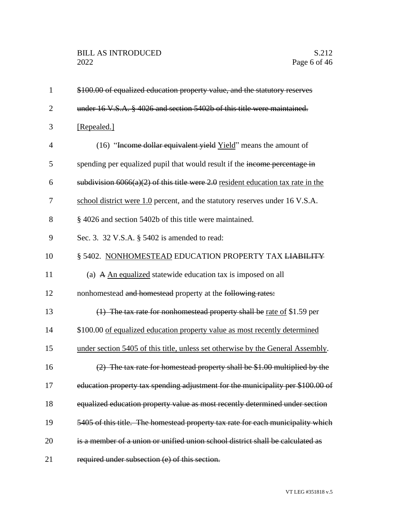| $\mathbf{1}$   | \$100.00 of equalized education property value, and the statutory reserves         |
|----------------|------------------------------------------------------------------------------------|
| $\overline{2}$ | under 16 V.S.A. § 4026 and section 5402b of this title were maintained.            |
| 3              | [Repealed.]                                                                        |
| $\overline{4}$ | (16) "Income dollar equivalent yield Yield" means the amount of                    |
| 5              | spending per equalized pupil that would result if the income percentage in         |
| 6              | subdivision $6066(a)(2)$ of this title were 2.0 resident education tax rate in the |
| 7              | school district were 1.0 percent, and the statutory reserves under 16 V.S.A.       |
| 8              | § 4026 and section 5402b of this title were maintained.                            |
| 9              | Sec. 3. 32 V.S.A. § 5402 is amended to read:                                       |
| 10             | § 5402. NONHOMESTEAD EDUCATION PROPERTY TAX LIABILITY                              |
| 11             | (a) A An equalized statewide education tax is imposed on all                       |
| 12             | nonhomestead and homestead property at the following rates:                        |
| 13             | $(1)$ The tax rate for nonhomestead property shall be rate of \$1.59 per           |
| 14             | \$100.00 of equalized education property value as most recently determined         |
| 15             | under section 5405 of this title, unless set otherwise by the General Assembly.    |
| 16             | $(2)$ The tax rate for homestead property shall be \$1.00 multiplied by the        |
| 17             | education property tax spending adjustment for the municipality per \$100.00 of    |
| 18             | equalized education property value as most recently determined under section       |
| 19             | 5405 of this title. The homestead property tax rate for each municipality which    |
| 20             | is a member of a union or unified union school district shall be calculated as     |
| 21             | required under subsection (e) of this section.                                     |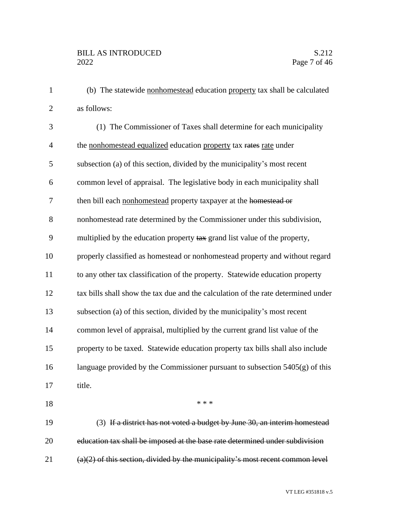(b) The statewide nonhomestead education property tax shall be calculated as follows:

| (1) The Commissioner of Taxes shall determine for each municipality               |
|-----------------------------------------------------------------------------------|
| the nonhomestead equalized education property tax rates rate under                |
| subsection (a) of this section, divided by the municipality's most recent         |
| common level of appraisal. The legislative body in each municipality shall        |
| then bill each nonhomestead property taxpayer at the homestead or                 |
| nonhomestead rate determined by the Commissioner under this subdivision,          |
| multiplied by the education property tax grand list value of the property,        |
| properly classified as homestead or nonhomestead property and without regard      |
| to any other tax classification of the property. Statewide education property     |
| tax bills shall show the tax due and the calculation of the rate determined under |
| subsection (a) of this section, divided by the municipality's most recent         |
| common level of appraisal, multiplied by the current grand list value of the      |
| property to be taxed. Statewide education property tax bills shall also include   |
| language provided by the Commissioner pursuant to subsection $5405(g)$ of this    |
| title.                                                                            |
| * * *                                                                             |
| (3) If a district has not voted a budget by June 30, an interim homestead         |
|                                                                                   |

(a)(2) of this section, divided by the municipality's most recent common level

education tax shall be imposed at the base rate determined under subdivision

VT LEG #351818 v.5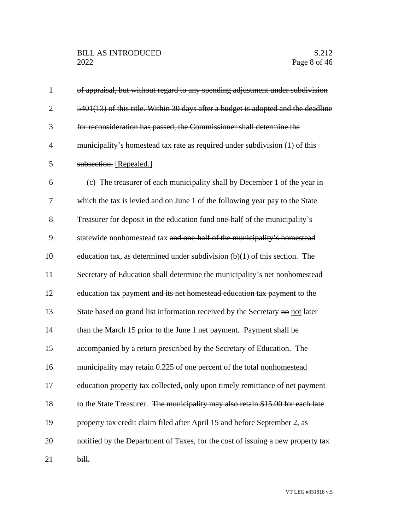| $\mathbf{1}$   | of appraisal, but without regard to any spending adjustment under subdivision     |
|----------------|-----------------------------------------------------------------------------------|
| $\overline{2}$ | 5401(13) of this title. Within 30 days after a budget is adopted and the deadline |
| 3              | for reconsideration has passed, the Commissioner shall determine the              |
| $\overline{4}$ | municipality's homestead tax rate as required under subdivision (1) of this       |
| 5              | subsection. [Repealed.]                                                           |
| 6              | (c) The treasurer of each municipality shall by December 1 of the year in         |
| 7              | which the tax is levied and on June 1 of the following year pay to the State      |
| 8              | Treasurer for deposit in the education fund one-half of the municipality's        |
| 9              | statewide nonhomestead tax and one-half of the municipality's homestead           |
| 10             | education tax, as determined under subdivision $(b)(1)$ of this section. The      |
| 11             | Secretary of Education shall determine the municipality's net nonhomestead        |
| 12             | education tax payment and its net homestead education tax payment to the          |
| 13             | State based on grand list information received by the Secretary no not later      |
| 14             | than the March 15 prior to the June 1 net payment. Payment shall be               |
| 15             | accompanied by a return prescribed by the Secretary of Education. The             |
| 16             | municipality may retain 0.225 of one percent of the total nonhomestead            |
| 17             | education property tax collected, only upon timely remittance of net payment      |
| 18             | to the State Treasurer. The municipality may also retain \$15.00 for each late    |
| 19             | property tax credit claim filed after April 15 and before September 2, as         |
| 20             | notified by the Department of Taxes, for the cost of issuing a new property tax   |
| 21             | bill.                                                                             |

VT LEG #351818 v.5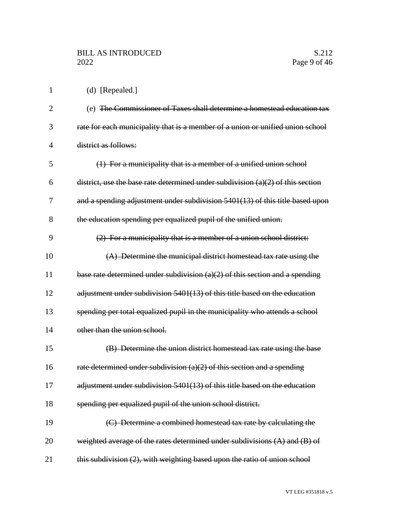(d) [Repealed.]

| $\overline{2}$ | (e) The Commissioner of Taxes shall determine a homestead education tax           |
|----------------|-----------------------------------------------------------------------------------|
| 3              | rate for each municipality that is a member of a union or unified union school    |
| 4              | district as follows:                                                              |
| 5              | (1) For a municipality that is a member of a unified union school                 |
| 6              | district, use the base rate determined under subdivision $(a)(2)$ of this section |
| 7              | and a spending adjustment under subdivision $5401(13)$ of this title based upon   |
| 8              | the education spending per equalized pupil of the unified union.                  |
| 9              | (2) For a municipality that is a member of a union school district:               |
| 10             | (A) Determine the municipal district homestead tax rate using the                 |
| 11             | base rate determined under subdivision $(a)(2)$ of this section and a spending    |
| 12             | adjustment under subdivision 5401(13) of this title based on the education        |
| 13             | spending per total equalized pupil in the municipality who attends a school       |
| 14             | other than the union school.                                                      |
| 15             | (B) Determine the union district homestead tax rate using the base                |
| 16             | rate determined under subdivision $(a)(2)$ of this section and a spending         |
| 17             | adjustment under subdivision 5401(13) of this title based on the education        |
| 18             | spending per equalized pupil of the union school district.                        |
| 19             | (C) Determine a combined homestead tax rate by calculating the                    |
| 20             | weighted average of the rates determined under subdivisions $(A)$ and $(B)$ of    |
| 21             | this subdivision (2), with weighting based upon the ratio of union school         |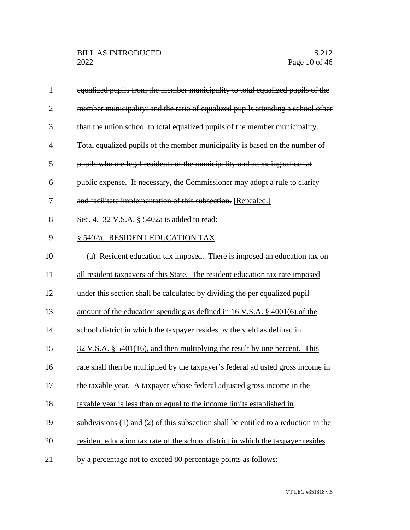| $\mathbf{1}$   | equalized pupils from the member municipality to total equalized pupils of the        |
|----------------|---------------------------------------------------------------------------------------|
| $\overline{2}$ | member municipality; and the ratio of equalized pupils attending a school other       |
| 3              | than the union school to total equalized pupils of the member municipality.           |
| $\overline{4}$ | Total equalized pupils of the member municipality is based on the number of           |
| 5              | pupils who are legal residents of the municipality and attending school at            |
| 6              | public expense. If necessary, the Commissioner may adopt a rule to clarify            |
| 7              | and facilitate implementation of this subsection. [Repealed.]                         |
| 8              | Sec. 4. 32 V.S.A. § 5402a is added to read:                                           |
| 9              | § 5402a. RESIDENT EDUCATION TAX                                                       |
| 10             | (a) Resident education tax imposed. There is imposed an education tax on              |
| 11             | all resident taxpayers of this State. The resident education tax rate imposed         |
| 12             | under this section shall be calculated by dividing the per equalized pupil            |
| 13             | amount of the education spending as defined in 16 V.S.A. $\S$ 4001(6) of the          |
| 14             | school district in which the taxpayer resides by the yield as defined in              |
| 15             | $32 \text{ V.S.A. }$ \$5401(16), and then multiplying the result by one percent. This |
| 16             | rate shall then be multiplied by the taxpayer's federal adjusted gross income in      |
| 17             | the taxable year. A taxpayer whose federal adjusted gross income in the               |
| 18             | taxable year is less than or equal to the income limits established in                |
| 19             | subdivisions (1) and (2) of this subsection shall be entitled to a reduction in the   |
| 20             | resident education tax rate of the school district in which the taxpayer resides      |
| 21             | by a percentage not to exceed 80 percentage points as follows:                        |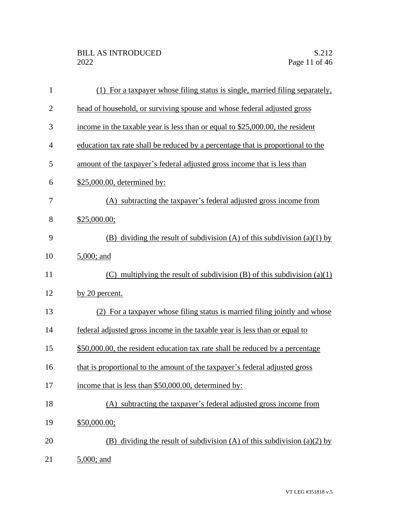| $\mathbf{1}$   | (1) For a taxpayer whose filing status is single, married filing separately,    |
|----------------|---------------------------------------------------------------------------------|
| $\overline{2}$ | head of household, or surviving spouse and whose federal adjusted gross         |
| 3              | income in the taxable year is less than or equal to \$25,000.00, the resident   |
| 4              | education tax rate shall be reduced by a percentage that is proportional to the |
| 5              | amount of the taxpayer's federal adjusted gross income that is less than        |
| 6              | \$25,000.00, determined by:                                                     |
| 7              | (A) subtracting the taxpayer's federal adjusted gross income from               |
| 8              | \$25,000.00;                                                                    |
| 9              | (B) dividing the result of subdivision (A) of this subdivision (a)(1) by        |
| 10             | 5,000; and                                                                      |
| 11             | (C) multiplying the result of subdivision $(B)$ of this subdivision $(a)(1)$    |
| 12             | by 20 percent.                                                                  |
| 13             | (2) For a taxpayer whose filing status is married filing jointly and whose      |
| 14             | federal adjusted gross income in the taxable year is less than or equal to      |
| 15             | \$50,000.00, the resident education tax rate shall be reduced by a percentage   |
| 16             | that is proportional to the amount of the taxpayer's federal adjusted gross     |
| 17             | income that is less than \$50,000.00, determined by:                            |
| 18             | (A) subtracting the taxpayer's federal adjusted gross income from               |
| 19             | \$50,000.00;                                                                    |
| 20             | (B) dividing the result of subdivision (A) of this subdivision (a)(2) by        |
| 21             | 5,000; and                                                                      |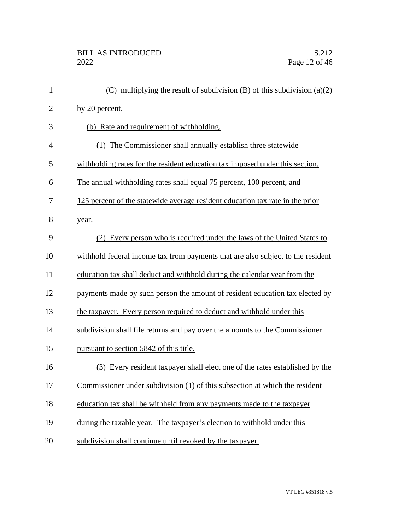| $\mathbf{1}$   | (C) multiplying the result of subdivision (B) of this subdivision $(a)(2)$      |
|----------------|---------------------------------------------------------------------------------|
| $\overline{2}$ | by 20 percent.                                                                  |
| 3              | (b) Rate and requirement of withholding.                                        |
| $\overline{4}$ | (1) The Commissioner shall annually establish three statewide                   |
| 5              | withholding rates for the resident education tax imposed under this section.    |
| 6              | The annual withholding rates shall equal 75 percent, 100 percent, and           |
| 7              | 125 percent of the statewide average resident education tax rate in the prior   |
| 8              | year.                                                                           |
| 9              | (2) Every person who is required under the laws of the United States to         |
| 10             | withhold federal income tax from payments that are also subject to the resident |
| 11             | education tax shall deduct and withhold during the calendar year from the       |
| 12             | payments made by such person the amount of resident education tax elected by    |
| 13             | the taxpayer. Every person required to deduct and withhold under this           |
| 14             | subdivision shall file returns and pay over the amounts to the Commissioner     |
| 15             | pursuant to section 5842 of this title.                                         |
| 16             | (3) Every resident taxpayer shall elect one of the rates established by the     |
| 17             | Commissioner under subdivision (1) of this subsection at which the resident     |
| 18             | education tax shall be withheld from any payments made to the taxpayer          |
| 19             | during the taxable year. The taxpayer's election to withhold under this         |
| 20             | subdivision shall continue until revoked by the taxpayer.                       |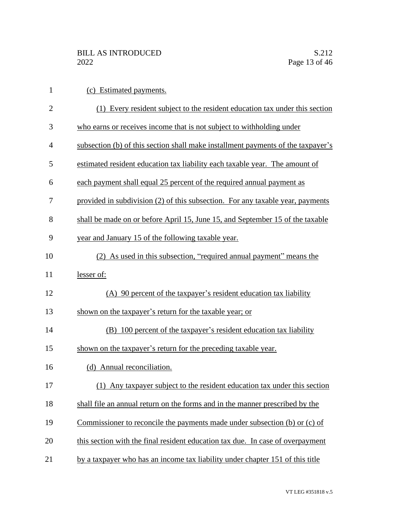| $\mathbf{1}$   | (c) Estimated payments.                                                          |
|----------------|----------------------------------------------------------------------------------|
| $\overline{2}$ | (1) Every resident subject to the resident education tax under this section      |
| 3              | who earns or receives income that is not subject to withholding under            |
| 4              | subsection (b) of this section shall make installment payments of the taxpayer's |
| 5              | estimated resident education tax liability each taxable year. The amount of      |
| 6              | each payment shall equal 25 percent of the required annual payment as            |
| 7              | provided in subdivision (2) of this subsection. For any taxable year, payments   |
| 8              | shall be made on or before April 15, June 15, and September 15 of the taxable    |
| 9              | year and January 15 of the following taxable year.                               |
| 10             | (2) As used in this subsection, "required annual payment" means the              |
| 11             | lesser of:                                                                       |
| 12             | (A) 90 percent of the taxpayer's resident education tax liability                |
| 13             | shown on the taxpayer's return for the taxable year; or                          |
| 14             | (B) 100 percent of the taxpayer's resident education tax liability               |
| 15             | shown on the taxpayer's return for the preceding taxable year.                   |
| 16             | (d) Annual reconciliation.                                                       |
| 17             | Any taxpayer subject to the resident education tax under this section<br>(1)     |
| 18             | shall file an annual return on the forms and in the manner prescribed by the     |
| 19             | Commissioner to reconcile the payments made under subsection (b) or (c) of       |
| 20             | this section with the final resident education tax due. In case of overpayment   |
| 21             | by a taxpayer who has an income tax liability under chapter 151 of this title    |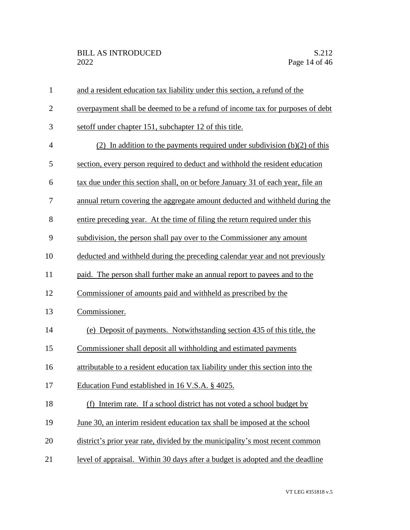| $\mathbf{1}$   | and a resident education tax liability under this section, a refund of the      |
|----------------|---------------------------------------------------------------------------------|
| $\mathbf{2}$   | overpayment shall be deemed to be a refund of income tax for purposes of debt   |
| 3              | set off under chapter 151, subchapter 12 of this title.                         |
| $\overline{4}$ | (2) In addition to the payments required under subdivision $(b)(2)$ of this     |
| 5              | section, every person required to deduct and withhold the resident education    |
| 6              | tax due under this section shall, on or before January 31 of each year, file an |
| 7              | annual return covering the aggregate amount deducted and withheld during the    |
| 8              | entire preceding year. At the time of filing the return required under this     |
| 9              | subdivision, the person shall pay over to the Commissioner any amount           |
| 10             | deducted and withheld during the preceding calendar year and not previously     |
| 11             | paid. The person shall further make an annual report to payees and to the       |
| 12             | Commissioner of amounts paid and withheld as prescribed by the                  |
| 13             | Commissioner.                                                                   |
| 14             | (e) Deposit of payments. Notwithstanding section 435 of this title, the         |
| 15             | Commissioner shall deposit all withholding and estimated payments               |
| 16             | attributable to a resident education tax liability under this section into the  |
| 17             | Education Fund established in 16 V.S.A. § 4025.                                 |
| 18             | (f) Interim rate. If a school district has not voted a school budget by         |
| 19             | June 30, an interim resident education tax shall be imposed at the school       |
| 20             | district's prior year rate, divided by the municipality's most recent common    |
| 21             | level of appraisal. Within 30 days after a budget is adopted and the deadline   |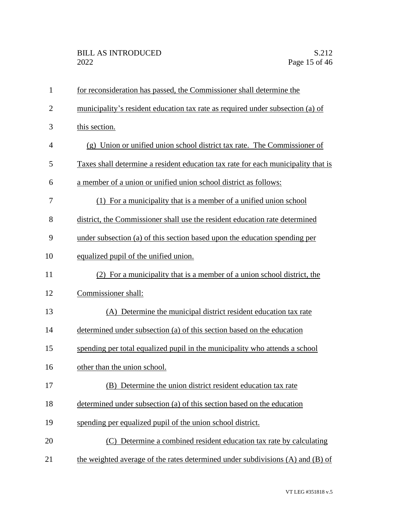| $\mathbf{1}$   | for reconsideration has passed, the Commissioner shall determine the              |
|----------------|-----------------------------------------------------------------------------------|
| $\overline{2}$ | municipality's resident education tax rate as required under subsection (a) of    |
| 3              | this section.                                                                     |
| $\overline{4}$ | (g) Union or unified union school district tax rate. The Commissioner of          |
| 5              | Taxes shall determine a resident education tax rate for each municipality that is |
| 6              | a member of a union or unified union school district as follows:                  |
| 7              | (1) For a municipality that is a member of a unified union school                 |
| 8              | district, the Commissioner shall use the resident education rate determined       |
| 9              | under subsection (a) of this section based upon the education spending per        |
| 10             | equalized pupil of the unified union.                                             |
| 11             | (2) For a municipality that is a member of a union school district, the           |
| 12             | Commissioner shall:                                                               |
| 13             | (A) Determine the municipal district resident education tax rate                  |
| 14             | determined under subsection (a) of this section based on the education            |
| 15             | spending per total equalized pupil in the municipality who attends a school       |
| 16             | other than the union school.                                                      |
| 17             | (B) Determine the union district resident education tax rate                      |
| 18             | determined under subsection (a) of this section based on the education            |
| 19             | spending per equalized pupil of the union school district.                        |
| 20             | (C) Determine a combined resident education tax rate by calculating               |
| 21             | the weighted average of the rates determined under subdivisions (A) and (B) of    |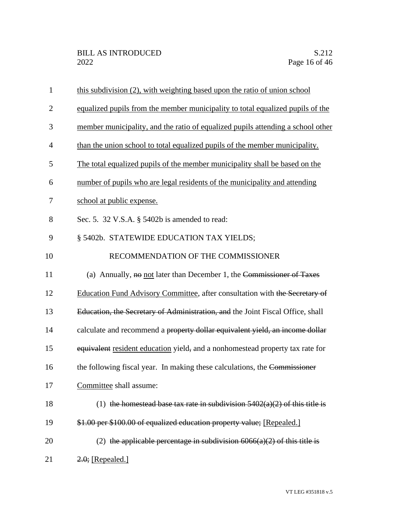| $\mathbf{1}$   | this subdivision (2), with weighting based upon the ratio of union school          |
|----------------|------------------------------------------------------------------------------------|
| $\overline{2}$ | equalized pupils from the member municipality to total equalized pupils of the     |
| 3              | member municipality, and the ratio of equalized pupils attending a school other    |
| 4              | than the union school to total equalized pupils of the member municipality.        |
| 5              | The total equalized pupils of the member municipality shall be based on the        |
| 6              | number of pupils who are legal residents of the municipality and attending         |
| 7              | school at public expense.                                                          |
| 8              | Sec. 5. 32 V.S.A. § 5402b is amended to read:                                      |
| 9              | § 5402b. STATEWIDE EDUCATION TAX YIELDS;                                           |
| 10             | RECOMMENDATION OF THE COMMISSIONER                                                 |
| 11             | (a) Annually, $\overline{ho}$ not later than December 1, the Commissioner of Taxes |
| 12             | Education Fund Advisory Committee, after consultation with the Secretary of        |
| 13             | Education, the Secretary of Administration, and the Joint Fiscal Office, shall     |
| 14             | calculate and recommend a property dollar equivalent yield, an income dollar       |
| 15             | equivalent resident education yield, and a nonhomestead property tax rate for      |
| 16             | the following fiscal year. In making these calculations, the Commissioner          |
| 17             | Committee shall assume:                                                            |
| 18             | (1) the homestead base tax rate in subdivision $5402(a)(2)$ of this title is       |
| 19             | \$1.00 per \$100.00 of equalized education property value; [Repealed.]             |
| 20             | (2) the applicable percentage in subdivision $6066(a)(2)$ of this title is         |
| 21             | $2.0$ ; [Repealed.]                                                                |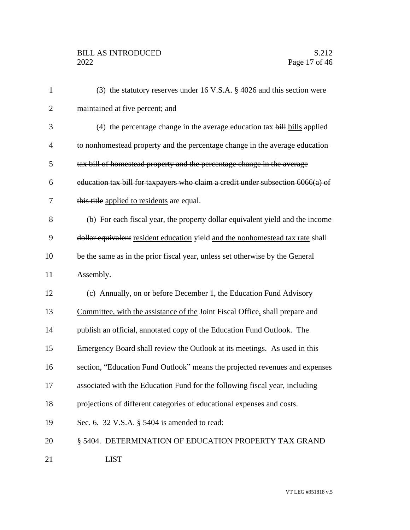| $\mathbf{1}$   | (3) the statutory reserves under 16 V.S.A. $\S$ 4026 and this section were      |
|----------------|---------------------------------------------------------------------------------|
| $\overline{2}$ | maintained at five percent; and                                                 |
| 3              | $(4)$ the percentage change in the average education tax bill bills applied     |
| $\overline{4}$ | to nonhomestead property and the percentage change in the average education     |
| 5              | tax bill of homestead property and the percentage change in the average         |
| 6              | education tax bill for taxpayers who claim a credit under subsection 6066(a) of |
| 7              | this title applied to residents are equal.                                      |
| 8              | (b) For each fiscal year, the property dollar equivalent yield and the income   |
| 9              | dollar equivalent resident education yield and the nonhomestead tax rate shall  |
| 10             | be the same as in the prior fiscal year, unless set otherwise by the General    |
| 11             | Assembly.                                                                       |
| 12             | (c) Annually, on or before December 1, the Education Fund Advisory              |
| 13             | Committee, with the assistance of the Joint Fiscal Office, shall prepare and    |
| 14             | publish an official, annotated copy of the Education Fund Outlook. The          |
| 15             | Emergency Board shall review the Outlook at its meetings. As used in this       |
| 16             | section, "Education Fund Outlook" means the projected revenues and expenses     |
| 17             | associated with the Education Fund for the following fiscal year, including     |
| 18             | projections of different categories of educational expenses and costs.          |
| 19             | Sec. 6. 32 V.S.A. § 5404 is amended to read:                                    |
| 20             | § 5404. DETERMINATION OF EDUCATION PROPERTY TAX GRAND                           |
| 21             | <b>LIST</b>                                                                     |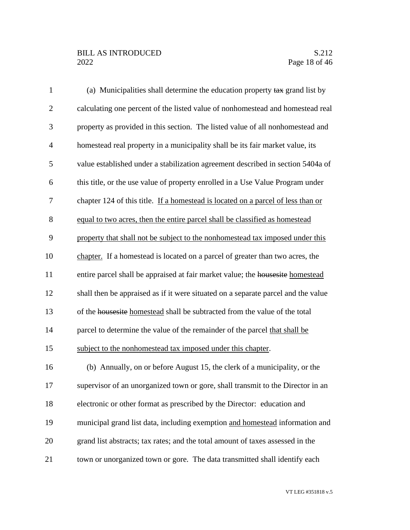## BILL AS INTRODUCED<br>2022 Page 18 of 46

| $\mathbf{1}$   | (a) Municipalities shall determine the education property tax grand list by       |
|----------------|-----------------------------------------------------------------------------------|
| $\overline{2}$ | calculating one percent of the listed value of nonhomestead and homestead real    |
| 3              | property as provided in this section. The listed value of all nonhomestead and    |
| $\overline{4}$ | homestead real property in a municipality shall be its fair market value, its     |
| 5              | value established under a stabilization agreement described in section 5404a of   |
| 6              | this title, or the use value of property enrolled in a Use Value Program under    |
| 7              | chapter 124 of this title. If a homestead is located on a parcel of less than or  |
| $8\,$          | equal to two acres, then the entire parcel shall be classified as homestead       |
| 9              | property that shall not be subject to the nonhomestead tax imposed under this     |
| 10             | chapter. If a homestead is located on a parcel of greater than two acres, the     |
| 11             | entire parcel shall be appraised at fair market value; the housesite homestead    |
| 12             | shall then be appraised as if it were situated on a separate parcel and the value |
| 13             | of the housesite homestead shall be subtracted from the value of the total        |
| 14             | parcel to determine the value of the remainder of the parcel that shall be        |
| 15             | subject to the nonhomestead tax imposed under this chapter.                       |
| 16             | (b) Annually, on or before August 15, the clerk of a municipality, or the         |
| 17             | supervisor of an unorganized town or gore, shall transmit to the Director in an   |
| 18             | electronic or other format as prescribed by the Director: education and           |
| 19             | municipal grand list data, including exemption and homestead information and      |
| 20             | grand list abstracts; tax rates; and the total amount of taxes assessed in the    |
| 21             | town or unorganized town or gore. The data transmitted shall identify each        |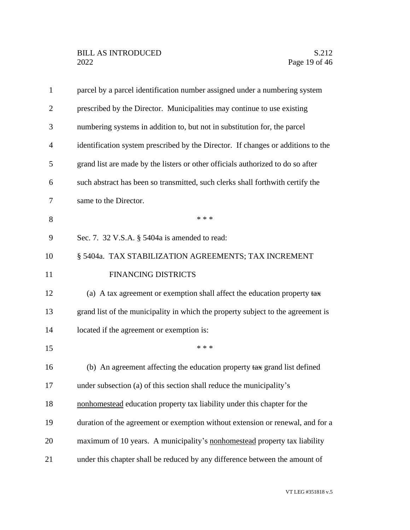| prescribed by the Director. Municipalities may continue to use existing          |
|----------------------------------------------------------------------------------|
|                                                                                  |
| numbering systems in addition to, but not in substitution for, the parcel        |
| identification system prescribed by the Director. If changes or additions to the |
| grand list are made by the listers or other officials authorized to do so after  |
| such abstract has been so transmitted, such clerks shall forthwith certify the   |
|                                                                                  |
|                                                                                  |
|                                                                                  |
| § 5404a. TAX STABILIZATION AGREEMENTS; TAX INCREMENT                             |
|                                                                                  |
| (a) A tax agreement or exemption shall affect the education property tax         |
| grand list of the municipality in which the property subject to the agreement is |
|                                                                                  |
|                                                                                  |
| (b) An agreement affecting the education property tax grand list defined         |
|                                                                                  |
| nonhomestead education property tax liability under this chapter for the         |
| duration of the agreement or exemption without extension or renewal, and for a   |
| maximum of 10 years. A municipality's nonhomestead property tax liability        |
| under this chapter shall be reduced by any difference between the amount of      |
|                                                                                  |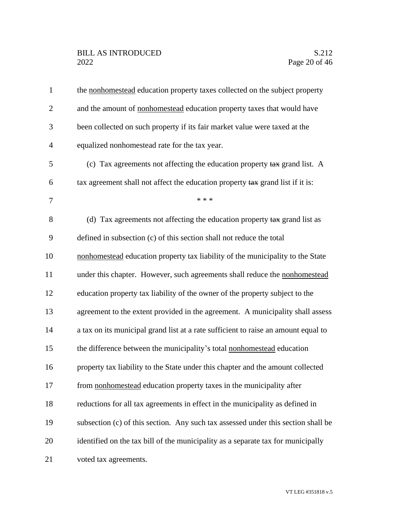| $\mathbf{1}$   | the nonhomestead education property taxes collected on the subject property        |
|----------------|------------------------------------------------------------------------------------|
| $\overline{2}$ | and the amount of nonhomestead education property taxes that would have            |
| 3              | been collected on such property if its fair market value were taxed at the         |
| 4              | equalized nonhomestead rate for the tax year.                                      |
| 5              | (c) Tax agreements not affecting the education property tax grand list. A          |
| 6              | tax agreement shall not affect the education property tax grand list if it is:     |
| 7              | * * *                                                                              |
| 8              | (d) Tax agreements not affecting the education property tax grand list as          |
| 9              | defined in subsection (c) of this section shall not reduce the total               |
| 10             | nonhomestead education property tax liability of the municipality to the State     |
| 11             | under this chapter. However, such agreements shall reduce the nonhomestead         |
| 12             | education property tax liability of the owner of the property subject to the       |
| 13             | agreement to the extent provided in the agreement. A municipality shall assess     |
| 14             | a tax on its municipal grand list at a rate sufficient to raise an amount equal to |
| 15             | the difference between the municipality's total nonhomestead education             |
| 16             | property tax liability to the State under this chapter and the amount collected    |
| 17             | from nonhomestead education property taxes in the municipality after               |
| 18             | reductions for all tax agreements in effect in the municipality as defined in      |
| 19             | subsection (c) of this section. Any such tax assessed under this section shall be  |
| 20             | identified on the tax bill of the municipality as a separate tax for municipally   |
| 21             | voted tax agreements.                                                              |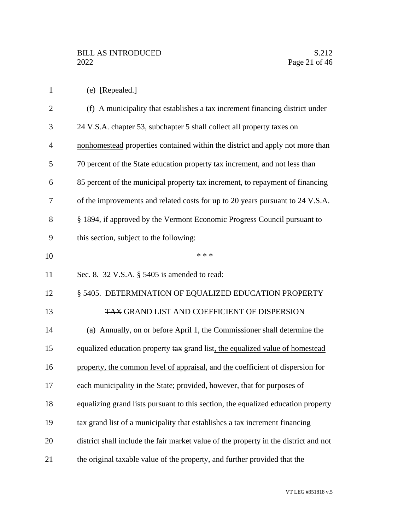|  |  | (e) [Repealed.] |  |
|--|--|-----------------|--|
|--|--|-----------------|--|

| $\overline{2}$ | (f) A municipality that establishes a tax increment financing district under         |
|----------------|--------------------------------------------------------------------------------------|
| 3              | 24 V.S.A. chapter 53, subchapter 5 shall collect all property taxes on               |
| $\overline{4}$ | nonhomestead properties contained within the district and apply not more than        |
| 5              | 70 percent of the State education property tax increment, and not less than          |
| 6              | 85 percent of the municipal property tax increment, to repayment of financing        |
| 7              | of the improvements and related costs for up to 20 years pursuant to 24 V.S.A.       |
| 8              | § 1894, if approved by the Vermont Economic Progress Council pursuant to             |
| 9              | this section, subject to the following:                                              |
| 10             | * * *                                                                                |
| 11             | Sec. 8. $32$ V.S.A. $\S$ 5405 is amended to read:                                    |
| 12             | § 5405. DETERMINATION OF EQUALIZED EDUCATION PROPERTY                                |
| 13             | TAX GRAND LIST AND COEFFICIENT OF DISPERSION                                         |
| 14             | (a) Annually, on or before April 1, the Commissioner shall determine the             |
| 15             | equalized education property tax grand list, the equalized value of homestead        |
| 16             | property, the common level of appraisal, and the coefficient of dispersion for       |
| 17             | each municipality in the State; provided, however, that for purposes of              |
| 18             | equalizing grand lists pursuant to this section, the equalized education property    |
| 19             | tax grand list of a municipality that establishes a tax increment financing          |
| 20             | district shall include the fair market value of the property in the district and not |
| 21             | the original taxable value of the property, and further provided that the            |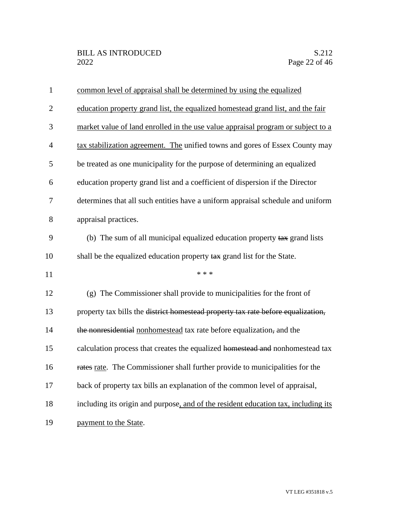| $\mathbf{1}$   | common level of appraisal shall be determined by using the equalized               |
|----------------|------------------------------------------------------------------------------------|
| $\overline{2}$ | education property grand list, the equalized homestead grand list, and the fair    |
| 3              | market value of land enrolled in the use value appraisal program or subject to a   |
| $\overline{4}$ | tax stabilization agreement. The unified towns and gores of Essex County may       |
| 5              | be treated as one municipality for the purpose of determining an equalized         |
| 6              | education property grand list and a coefficient of dispersion if the Director      |
| 7              | determines that all such entities have a uniform appraisal schedule and uniform    |
| 8              | appraisal practices.                                                               |
| 9              | (b) The sum of all municipal equalized education property tax grand lists          |
| 10             | shall be the equalized education property tax grand list for the State.            |
| 11             | * * *                                                                              |
| 12             | (g) The Commissioner shall provide to municipalities for the front of              |
| 13             | property tax bills the district homestead property tax rate before equalization,   |
| 14             | the nonresidential nonhomestead tax rate before equalization, and the              |
| 15             | calculation process that creates the equalized homestead and nonhomestead tax      |
| 16             | rates rate. The Commissioner shall further provide to municipalities for the       |
| 17             | back of property tax bills an explanation of the common level of appraisal,        |
| 18             | including its origin and purpose, and of the resident education tax, including its |
| 19             | payment to the State.                                                              |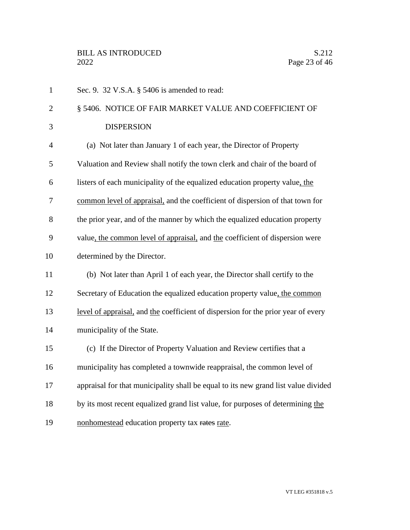| $\mathbf{1}$   | Sec. 9. 32 V.S.A. § 5406 is amended to read:                                       |
|----------------|------------------------------------------------------------------------------------|
| $\overline{2}$ | § 5406. NOTICE OF FAIR MARKET VALUE AND COEFFICIENT OF                             |
| 3              | <b>DISPERSION</b>                                                                  |
| $\overline{4}$ | (a) Not later than January 1 of each year, the Director of Property                |
| 5              | Valuation and Review shall notify the town clerk and chair of the board of         |
| 6              | listers of each municipality of the equalized education property value, the        |
| 7              | common level of appraisal, and the coefficient of dispersion of that town for      |
| 8              | the prior year, and of the manner by which the equalized education property        |
| 9              | value, the common level of appraisal, and the coefficient of dispersion were       |
| 10             | determined by the Director.                                                        |
| 11             | (b) Not later than April 1 of each year, the Director shall certify to the         |
| 12             | Secretary of Education the equalized education property value, the common          |
| 13             | level of appraisal, and the coefficient of dispersion for the prior year of every  |
| 14             | municipality of the State.                                                         |
| 15             | (c) If the Director of Property Valuation and Review certifies that a              |
| 16             | municipality has completed a townwide reappraisal, the common level of             |
| 17             | appraisal for that municipality shall be equal to its new grand list value divided |
| 18             | by its most recent equalized grand list value, for purposes of determining the     |
| 19             | nonhomestead education property tax rates rate.                                    |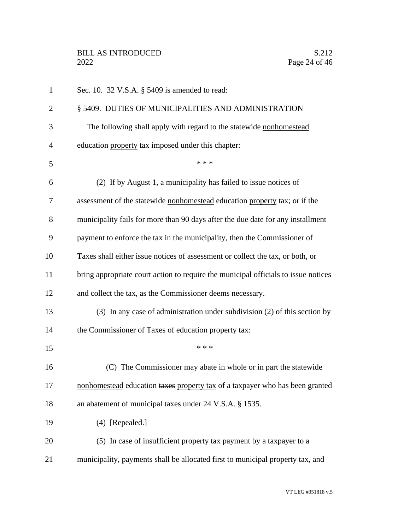| $\mathbf{1}$   | Sec. 10. 32 V.S.A. § 5409 is amended to read:                                      |
|----------------|------------------------------------------------------------------------------------|
| $\overline{2}$ | § 5409. DUTIES OF MUNICIPALITIES AND ADMINISTRATION                                |
| 3              | The following shall apply with regard to the statewide nonhomestead                |
| $\overline{4}$ | education property tax imposed under this chapter:                                 |
| 5              | * * *                                                                              |
| 6              | (2) If by August 1, a municipality has failed to issue notices of                  |
| 7              | assessment of the statewide nonhomestead education property tax; or if the         |
| 8              | municipality fails for more than 90 days after the due date for any installment    |
| 9              | payment to enforce the tax in the municipality, then the Commissioner of           |
| 10             | Taxes shall either issue notices of assessment or collect the tax, or both, or     |
| 11             | bring appropriate court action to require the municipal officials to issue notices |
| 12             | and collect the tax, as the Commissioner deems necessary.                          |
| 13             | (3) In any case of administration under subdivision (2) of this section by         |
| 14             | the Commissioner of Taxes of education property tax:                               |
| 15             | * * *                                                                              |
| 16             | (C) The Commissioner may abate in whole or in part the statewide                   |
| 17             | nonhomestead education taxes property tax of a taxpayer who has been granted       |
| 18             | an abatement of municipal taxes under 24 V.S.A. § 1535.                            |
| 19             | $(4)$ [Repealed.]                                                                  |
| 20             | (5) In case of insufficient property tax payment by a taxpayer to a                |
| 21             | municipality, payments shall be allocated first to municipal property tax, and     |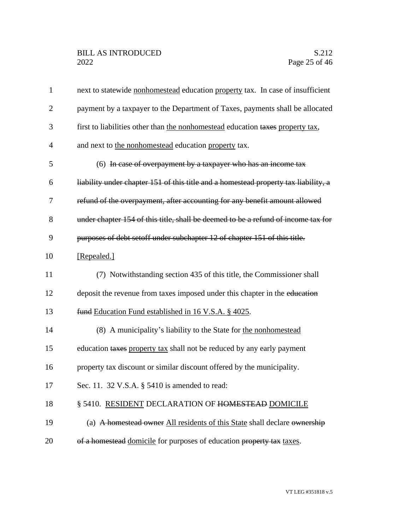| $\mathbf{1}$   | next to statewide nonhomestead education property tax. In case of insufficient      |
|----------------|-------------------------------------------------------------------------------------|
| $\overline{2}$ | payment by a taxpayer to the Department of Taxes, payments shall be allocated       |
| 3              | first to liabilities other than the nonhomestead education taxes property tax,      |
| $\overline{4}$ | and next to the nonhomestead education property tax.                                |
| 5              | (6) In case of overpayment by a taxpayer who has an income tax                      |
| 6              | liability under chapter 151 of this title and a homestead property tax liability, a |
| 7              | refund of the overpayment, after accounting for any benefit amount allowed          |
| 8              | under chapter 154 of this title, shall be deemed to be a refund of income tax for   |
| 9              | purposes of debt setoff under subchapter 12 of chapter 151 of this title.           |
| 10             | [Repealed.]                                                                         |
| 11             | (7) Notwithstanding section 435 of this title, the Commissioner shall               |
| 12             | deposit the revenue from taxes imposed under this chapter in the education          |
| 13             | fund Education Fund established in 16 V.S.A. § 4025.                                |
| 14             | (8) A municipality's liability to the State for the nonhomestead                    |
| 15             | education taxes property tax shall not be reduced by any early payment              |
| 16             | property tax discount or similar discount offered by the municipality.              |
| 17             | Sec. 11. 32 V.S.A. § 5410 is amended to read:                                       |
| 18             | § 5410. RESIDENT DECLARATION OF HOMESTEAD DOMICILE                                  |
| 19             | (a) A homestead owner All residents of this State shall declare ownership           |
| 20             | of a homestead domicile for purposes of education property tax taxes.               |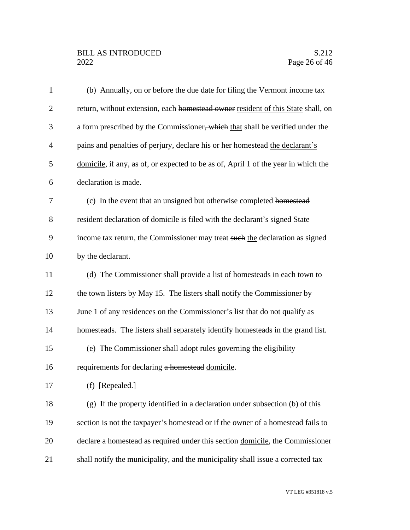## BILL AS INTRODUCED<br>2022 Page 26 of 46

| $\mathbf{1}$   | (b) Annually, on or before the due date for filing the Vermont income tax          |
|----------------|------------------------------------------------------------------------------------|
| $\overline{2}$ | return, without extension, each homestead owner resident of this State shall, on   |
| 3              | a form prescribed by the Commissioner, which that shall be verified under the      |
| $\overline{4}$ | pains and penalties of perjury, declare his or her homestead the declarant's       |
| 5              | domicile, if any, as of, or expected to be as of, April 1 of the year in which the |
| 6              | declaration is made.                                                               |
| 7              | (c) In the event that an unsigned but otherwise completed homestead                |
| 8              | resident declaration of domicile is filed with the declarant's signed State        |
| 9              | income tax return, the Commissioner may treat such the declaration as signed       |
| 10             | by the declarant.                                                                  |
| 11             | (d) The Commissioner shall provide a list of homesteads in each town to            |
| 12             | the town listers by May 15. The listers shall notify the Commissioner by           |
| 13             | June 1 of any residences on the Commissioner's list that do not qualify as         |
| 14             | homesteads. The listers shall separately identify homesteads in the grand list.    |
| 15             | (e) The Commissioner shall adopt rules governing the eligibility                   |
| 16             | requirements for declaring a homestead domicile.                                   |
| 17             | (f) [Repealed.]                                                                    |
| 18             | (g) If the property identified in a declaration under subsection (b) of this       |
| 19             | section is not the taxpayer's homestead or if the owner of a homestead fails to    |
| 20             | declare a homestead as required under this section domicile, the Commissioner      |
| 21             | shall notify the municipality, and the municipality shall issue a corrected tax    |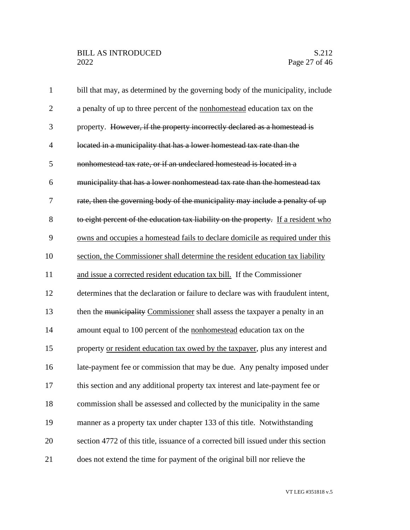| $\mathbf{1}$   | bill that may, as determined by the governing body of the municipality, include    |
|----------------|------------------------------------------------------------------------------------|
| $\overline{2}$ | a penalty of up to three percent of the nonhomestead education tax on the          |
| 3              | property. However, if the property incorrectly declared as a homestead is          |
| $\overline{4}$ | located in a municipality that has a lower homestead tax rate than the             |
| 5              | nonhomestead tax rate, or if an undeclared homestead is located in a               |
| 6              | municipality that has a lower nonhomestead tax rate than the homestead tax         |
| 7              | rate, then the governing body of the municipality may include a penalty of up      |
| 8              | to eight percent of the education tax liability on the property. If a resident who |
| 9              | owns and occupies a homestead fails to declare domicile as required under this     |
| 10             | section, the Commissioner shall determine the resident education tax liability     |
| 11             | and issue a corrected resident education tax bill. If the Commissioner             |
| 12             | determines that the declaration or failure to declare was with fraudulent intent,  |
| 13             | then the municipality Commissioner shall assess the taxpayer a penalty in an       |
| 14             | amount equal to 100 percent of the nonhomestead education tax on the               |
| 15             | property or resident education tax owed by the taxpayer, plus any interest and     |
| 16             | late-payment fee or commission that may be due. Any penalty imposed under          |
| 17             | this section and any additional property tax interest and late-payment fee or      |
| 18             | commission shall be assessed and collected by the municipality in the same         |
| 19             | manner as a property tax under chapter 133 of this title. Notwithstanding          |
| 20             | section 4772 of this title, issuance of a corrected bill issued under this section |
| 21             | does not extend the time for payment of the original bill nor relieve the          |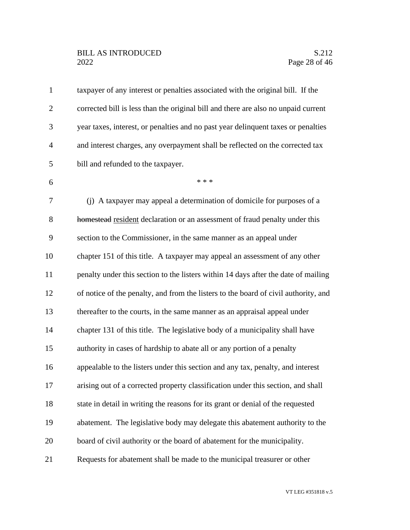| $\mathbf{1}$   | taxpayer of any interest or penalties associated with the original bill. If the     |
|----------------|-------------------------------------------------------------------------------------|
| $\overline{2}$ | corrected bill is less than the original bill and there are also no unpaid current  |
| 3              | year taxes, interest, or penalties and no past year delinquent taxes or penalties   |
| $\overline{4}$ | and interest charges, any overpayment shall be reflected on the corrected tax       |
| 5              | bill and refunded to the taxpayer.                                                  |
| 6              | * * *                                                                               |
| $\overline{7}$ | (j) A taxpayer may appeal a determination of domicile for purposes of a             |
| 8              | homestead resident declaration or an assessment of fraud penalty under this         |
| 9              | section to the Commissioner, in the same manner as an appeal under                  |
| 10             | chapter 151 of this title. A taxpayer may appeal an assessment of any other         |
| 11             | penalty under this section to the listers within 14 days after the date of mailing  |
| 12             | of notice of the penalty, and from the listers to the board of civil authority, and |
| 13             | thereafter to the courts, in the same manner as an appraisal appeal under           |
| 14             | chapter 131 of this title. The legislative body of a municipality shall have        |
| 15             | authority in cases of hardship to abate all or any portion of a penalty             |
| 16             | appealable to the listers under this section and any tax, penalty, and interest     |
| 17             | arising out of a corrected property classification under this section, and shall    |
| 18             | state in detail in writing the reasons for its grant or denial of the requested     |
| 19             | abatement. The legislative body may delegate this abatement authority to the        |
| 20             | board of civil authority or the board of abatement for the municipality.            |
| 21             | Requests for abatement shall be made to the municipal treasurer or other            |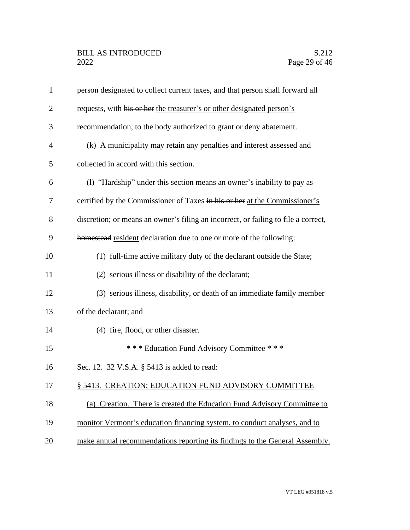| $\mathbf{1}$   | person designated to collect current taxes, and that person shall forward all      |
|----------------|------------------------------------------------------------------------------------|
| $\overline{2}$ | requests, with his or her the treasurer's or other designated person's             |
| 3              | recommendation, to the body authorized to grant or deny abatement.                 |
| $\overline{4}$ | (k) A municipality may retain any penalties and interest assessed and              |
| 5              | collected in accord with this section.                                             |
| 6              | (1) "Hardship" under this section means an owner's inability to pay as             |
| 7              | certified by the Commissioner of Taxes in his or her at the Commissioner's         |
| 8              | discretion; or means an owner's filing an incorrect, or failing to file a correct, |
| 9              | homestead resident declaration due to one or more of the following:                |
| 10             | (1) full-time active military duty of the declarant outside the State;             |
| 11             | (2) serious illness or disability of the declarant;                                |
| 12             | (3) serious illness, disability, or death of an immediate family member            |
| 13             | of the declarant; and                                                              |
| 14             | (4) fire, flood, or other disaster.                                                |
| 15             | *** Education Fund Advisory Committee ***                                          |
| 16             | Sec. 12. 32 V.S.A. § 5413 is added to read:                                        |
| 17             | § 5413. CREATION; EDUCATION FUND ADVISORY COMMITTEE                                |
| 18             | (a) Creation. There is created the Education Fund Advisory Committee to            |
| 19             | monitor Vermont's education financing system, to conduct analyses, and to          |
| 20             | make annual recommendations reporting its findings to the General Assembly.        |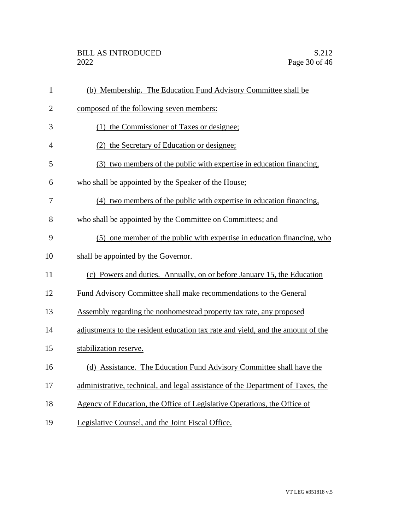| $\mathbf{1}$   | (b) Membership. The Education Fund Advisory Committee shall be                  |
|----------------|---------------------------------------------------------------------------------|
| $\overline{2}$ | composed of the following seven members:                                        |
| 3              | (1) the Commissioner of Taxes or designee;                                      |
| 4              | (2) the Secretary of Education or designee;                                     |
| 5              | (3) two members of the public with expertise in education financing,            |
| 6              | who shall be appointed by the Speaker of the House;                             |
| 7              | (4) two members of the public with expertise in education financing,            |
| 8              | who shall be appointed by the Committee on Committees; and                      |
| 9              | (5) one member of the public with expertise in education financing, who         |
| 10             | shall be appointed by the Governor.                                             |
| 11             | (c) Powers and duties. Annually, on or before January 15, the Education         |
| 12             | Fund Advisory Committee shall make recommendations to the General               |
| 13             | Assembly regarding the nonhomestead property tax rate, any proposed             |
| 14             | adjustments to the resident education tax rate and yield, and the amount of the |
| 15             | stabilization reserve.                                                          |
| 16             | (d) Assistance. The Education Fund Advisory Committee shall have the            |
| 17             | administrative, technical, and legal assistance of the Department of Taxes, the |
| 18             | Agency of Education, the Office of Legislative Operations, the Office of        |
| 19             | Legislative Counsel, and the Joint Fiscal Office.                               |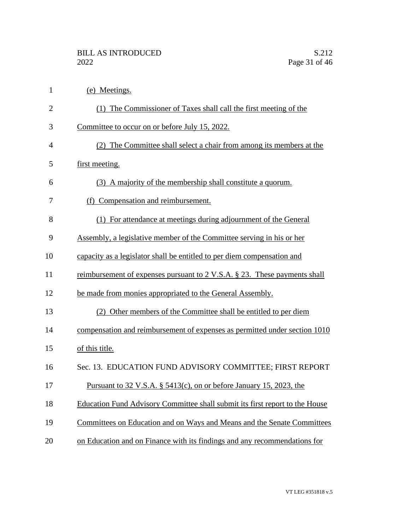| $\mathbf{1}$   | (e) Meetings.                                                                |
|----------------|------------------------------------------------------------------------------|
| $\overline{2}$ | (1) The Commissioner of Taxes shall call the first meeting of the            |
| 3              | Committee to occur on or before July 15, 2022.                               |
| $\overline{4}$ | (2) The Committee shall select a chair from among its members at the         |
| 5              | first meeting.                                                               |
| 6              | (3) A majority of the membership shall constitute a quorum.                  |
| 7              | (f) Compensation and reimbursement.                                          |
| 8              | (1) For attendance at meetings during adjournment of the General             |
| 9              | Assembly, a legislative member of the Committee serving in his or her        |
| 10             | capacity as a legislator shall be entitled to per diem compensation and      |
| 11             | reimbursement of expenses pursuant to 2 V.S.A. § 23. These payments shall    |
| 12             | be made from monies appropriated to the General Assembly.                    |
| 13             | Other members of the Committee shall be entitled to per diem<br>(2)          |
| 14             | compensation and reimbursement of expenses as permitted under section 1010   |
| 15             | of this title.                                                               |
| 16             | Sec. 13. EDUCATION FUND ADVISORY COMMITTEE; FIRST REPORT                     |
| 17             | <u>Pursuant to 32 V.S.A. § 5413(c), on or before January 15, 2023, the</u>   |
| 18             | Education Fund Advisory Committee shall submit its first report to the House |
| 19             | Committees on Education and on Ways and Means and the Senate Committees      |
| 20             | on Education and on Finance with its findings and any recommendations for    |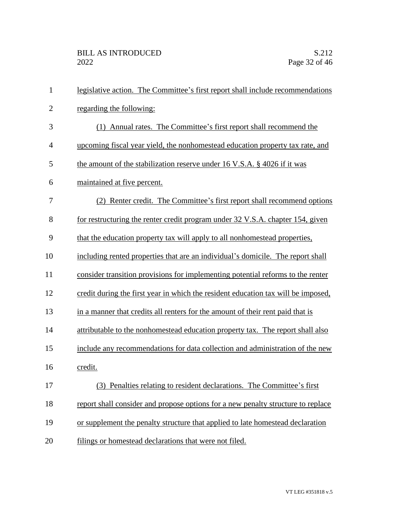| $\mathbf{1}$   | legislative action. The Committee's first report shall include recommendations    |
|----------------|-----------------------------------------------------------------------------------|
| $\overline{2}$ | regarding the following:                                                          |
| 3              | (1) Annual rates. The Committee's first report shall recommend the                |
| $\overline{4}$ | upcoming fiscal year yield, the nonhomestead education property tax rate, and     |
| 5              | the amount of the stabilization reserve under 16 V.S.A. $\S$ 4026 if it was       |
| 6              | maintained at five percent.                                                       |
| 7              | (2) Renter credit. The Committee's first report shall recommend options           |
| 8              | for restructuring the renter credit program under 32 V.S.A. chapter 154, given    |
| 9              | that the education property tax will apply to all nonhomestead properties.        |
| 10             | including rented properties that are an individual's domicile. The report shall   |
| 11             | consider transition provisions for implementing potential reforms to the renter   |
| 12             | credit during the first year in which the resident education tax will be imposed, |
| 13             | in a manner that credits all renters for the amount of their rent paid that is    |
| 14             | attributable to the nonhomestead education property tax. The report shall also    |
| 15             | include any recommendations for data collection and administration of the new     |
| 16             | credit.                                                                           |
| 17             | (3) Penalties relating to resident declarations. The Committee's first            |
| 18             | report shall consider and propose options for a new penalty structure to replace  |
| 19             | or supplement the penalty structure that applied to late homestead declaration    |
| 20             | filings or homestead declarations that were not filed.                            |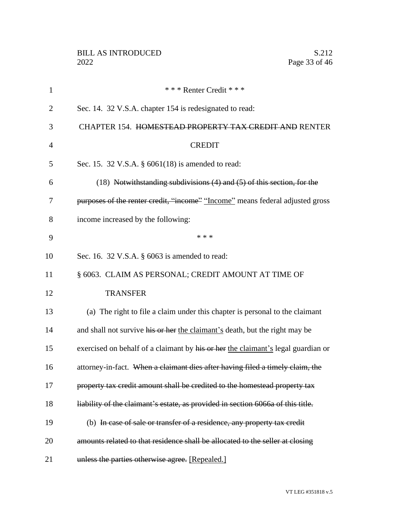| $\mathbf{1}$   | *** Renter Credit ***                                                            |
|----------------|----------------------------------------------------------------------------------|
| $\overline{2}$ | Sec. 14. 32 V.S.A. chapter 154 is redesignated to read:                          |
| 3              | CHAPTER 154. HOMESTEAD PROPERTY TAX CREDIT AND RENTER                            |
| 4              | <b>CREDIT</b>                                                                    |
| 5              | Sec. 15. 32 V.S.A. § 6061(18) is amended to read:                                |
| 6              | (18) Notwithstanding subdivisions (4) and (5) of this section, for the           |
| 7              | purposes of the renter credit, "income" "Income" means federal adjusted gross    |
| 8              | income increased by the following:                                               |
| 9              | * * *                                                                            |
| 10             | Sec. 16. 32 V.S.A. § 6063 is amended to read:                                    |
| 11             | § 6063. CLAIM AS PERSONAL; CREDIT AMOUNT AT TIME OF                              |
| 12             | <b>TRANSFER</b>                                                                  |
| 13             | (a) The right to file a claim under this chapter is personal to the claimant     |
| 14             | and shall not survive his or her the claimant's death, but the right may be      |
| 15             | exercised on behalf of a claimant by his or her the claimant's legal guardian or |
| 16             | attorney-in-fact. When a claimant dies after having filed a timely claim, the    |
| 17             | property tax credit amount shall be credited to the homestead property tax       |
| 18             | liability of the claimant's estate, as provided in section 6066a of this title.  |
| 19             | (b) In case of sale or transfer of a residence, any property tax credit          |
| 20             | amounts related to that residence shall be allocated to the seller at closing    |
| 21             | unless the parties otherwise agree. [Repealed.]                                  |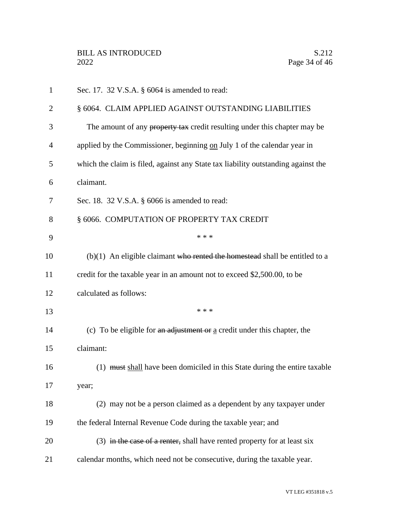| 1  | Sec. 17. 32 V.S.A. § 6064 is amended to read:                                     |
|----|-----------------------------------------------------------------------------------|
| 2  | § 6064. CLAIM APPLIED AGAINST OUTSTANDING LIABILITIES                             |
| 3  | The amount of any property tax credit resulting under this chapter may be         |
| 4  | applied by the Commissioner, beginning on July 1 of the calendar year in          |
| 5  | which the claim is filed, against any State tax liability outstanding against the |
| 6  | claimant.                                                                         |
| 7  | Sec. 18. 32 V.S.A. § 6066 is amended to read:                                     |
| 8  | § 6066. COMPUTATION OF PROPERTY TAX CREDIT                                        |
| 9  | * * *                                                                             |
| 10 | $(b)(1)$ An eligible claimant who rented the homestead shall be entitled to a     |
| 11 | credit for the taxable year in an amount not to exceed \$2,500.00, to be          |
| 12 | calculated as follows:                                                            |
| 13 | * * *                                                                             |
| 14 | (c) To be eligible for an adjustment or a credit under this chapter, the          |
| 15 | claimant:                                                                         |
| 16 | (1) must shall have been domiciled in this State during the entire taxable        |
| 17 | year;                                                                             |
| 18 | (2) may not be a person claimed as a dependent by any taxpayer under              |
| 19 | the federal Internal Revenue Code during the taxable year; and                    |
| 20 | $(3)$ in the case of a renter, shall have rented property for at least six        |
| 21 | calendar months, which need not be consecutive, during the taxable year.          |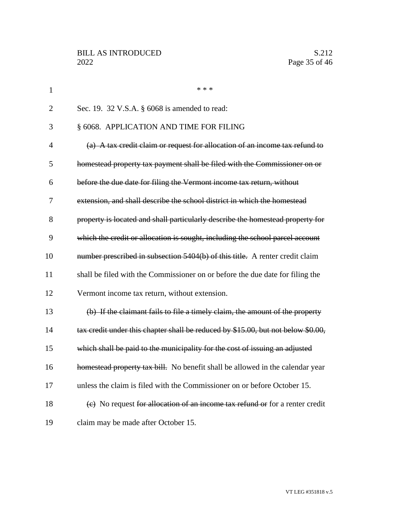| $\mathbf{1}$   | * * *                                                                            |
|----------------|----------------------------------------------------------------------------------|
| $\overline{2}$ | Sec. 19. 32 V.S.A. § 6068 is amended to read:                                    |
| 3              | § 6068. APPLICATION AND TIME FOR FILING                                          |
| $\overline{4}$ | (a) A tax credit claim or request for allocation of an income tax refund to      |
| 5              | homestead property tax payment shall be filed with the Commissioner on or        |
| 6              | before the due date for filing the Vermont income tax return, without            |
| 7              | extension, and shall describe the school district in which the homestead         |
| 8              | property is located and shall particularly describe the homestead property for   |
| 9              | which the credit or allocation is sought, including the school parcel account    |
| 10             | number prescribed in subsection 5404(b) of this title. A renter credit claim     |
| 11             | shall be filed with the Commissioner on or before the due date for filing the    |
| 12             | Vermont income tax return, without extension.                                    |
| 13             | (b) If the claimant fails to file a timely claim, the amount of the property     |
| 14             | tax credit under this chapter shall be reduced by \$15.00, but not below \$0.00, |
| 15             | which shall be paid to the municipality for the cost of issuing an adjusted      |
| 16             | homestead property tax bill. No benefit shall be allowed in the calendar year    |
| 17             | unless the claim is filed with the Commissioner on or before October 15.         |
| 18             | (e) No request for allocation of an income tax refund or for a renter credit     |
| 19             | claim may be made after October 15.                                              |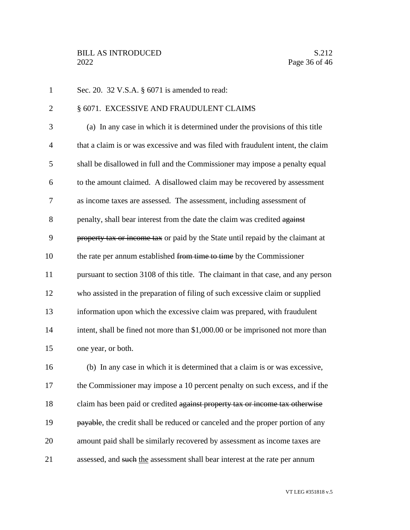Sec. 20. 32 V.S.A. § 6071 is amended to read: 2 § 6071. EXCESSIVE AND FRAUDULENT CLAIMS (a) In any case in which it is determined under the provisions of this title that a claim is or was excessive and was filed with fraudulent intent, the claim shall be disallowed in full and the Commissioner may impose a penalty equal to the amount claimed. A disallowed claim may be recovered by assessment as income taxes are assessed. The assessment, including assessment of 8 penalty, shall bear interest from the date the claim was credited against 9 property tax or income tax or paid by the State until repaid by the claimant at 10 the rate per annum established from time to time by the Commissioner pursuant to section 3108 of this title. The claimant in that case, and any person who assisted in the preparation of filing of such excessive claim or supplied information upon which the excessive claim was prepared, with fraudulent 14 intent, shall be fined not more than \$1,000.00 or be imprisoned not more than one year, or both. (b) In any case in which it is determined that a claim is or was excessive, the Commissioner may impose a 10 percent penalty on such excess, and if the 18 claim has been paid or credited against property tax or income tax otherwise **payable**, the credit shall be reduced or canceled and the proper portion of any amount paid shall be similarly recovered by assessment as income taxes are 21 assessed, and such the assessment shall bear interest at the rate per annum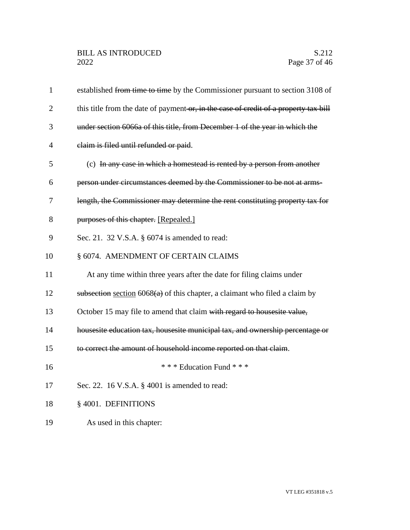| $\mathbf{1}$   | established from time to time by the Commissioner pursuant to section 3108 of        |
|----------------|--------------------------------------------------------------------------------------|
| $\overline{2}$ | this title from the date of payment or, in the case of credit of a property tax bill |
| 3              | under section 6066a of this title, from December 1 of the year in which the          |
| $\overline{4}$ | claim is filed until refunded or paid.                                               |
| 5              | (c) In any case in which a homestead is rented by a person from another              |
| 6              | person under circumstances deemed by the Commissioner to be not at arms-             |
| 7              | length, the Commissioner may determine the rent constituting property tax for        |
| 8              | purposes of this chapter. [Repealed.]                                                |
| 9              | Sec. 21. 32 V.S.A. § 6074 is amended to read:                                        |
| 10             | § 6074. AMENDMENT OF CERTAIN CLAIMS                                                  |
| 11             | At any time within three years after the date for filing claims under                |
| 12             | subsection section $6068(a)$ of this chapter, a claimant who filed a claim by        |
| 13             | October 15 may file to amend that claim with regard to housesite value,              |
| 14             | housesite education tax, housesite municipal tax, and ownership percentage or        |
| 15             | to correct the amount of household income reported on that claim.                    |
| 16             | *** Education Fund ***                                                               |
| 17             | Sec. 22. 16 V.S.A. § 4001 is amended to read:                                        |
| 18             | § 4001. DEFINITIONS                                                                  |
| 19             | As used in this chapter:                                                             |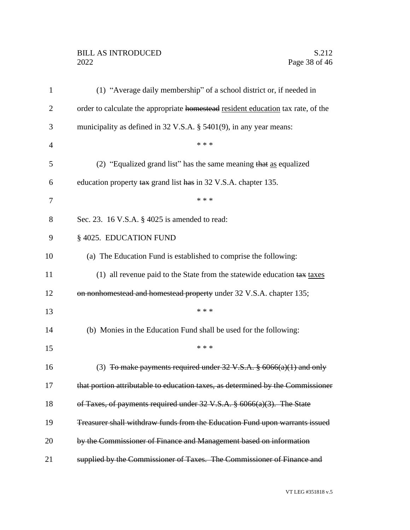## BILL AS INTRODUCED<br>2022 Page 38 of 46

| $\mathbf{1}$   | (1) "Average daily membership" of a school district or, if needed in               |
|----------------|------------------------------------------------------------------------------------|
| $\overline{2}$ | order to calculate the appropriate homestead resident education tax rate, of the   |
| 3              | municipality as defined in $32$ V.S.A. § $5401(9)$ , in any year means:            |
| $\overline{4}$ | * * *                                                                              |
| 5              | (2) "Equalized grand list" has the same meaning that as equalized                  |
| 6              | education property tax grand list has in 32 V.S.A. chapter 135.                    |
| 7              | * * *                                                                              |
| 8              | Sec. 23. 16 V.S.A. § 4025 is amended to read:                                      |
| 9              | § 4025. EDUCATION FUND                                                             |
| 10             | (a) The Education Fund is established to comprise the following:                   |
| 11             | (1) all revenue paid to the State from the statewide education $\frac{2}{x}$ taxes |
| 12             | on nonhomestead and homestead property under 32 V.S.A. chapter 135;                |
| 13             | * * *                                                                              |
| 14             | (b) Monies in the Education Fund shall be used for the following:                  |
| 15             | * * *                                                                              |
| 16             | (3) To make payments required under $32 \text{ V.S.A. }$ \$ 6066(a)(1) and only    |
| 17             | that portion attributable to education taxes, as determined by the Commissioner    |
| 18             | of Taxes, of payments required under 32 V.S.A. § 6066(a)(3). The State             |
| 19             | Treasurer shall withdraw funds from the Education Fund upon warrants issued        |
| 20             | by the Commissioner of Finance and Management based on information                 |
| 21             | supplied by the Commissioner of Taxes. The Commissioner of Finance and             |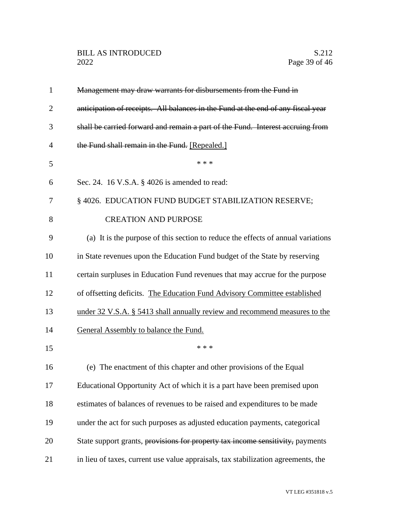| $\mathbf{1}$   | Management may draw warrants for disbursements from the Fund in                   |
|----------------|-----------------------------------------------------------------------------------|
| $\overline{2}$ | anticipation of receipts. All balances in the Fund at the end of any fiscal year  |
| 3              | shall be carried forward and remain a part of the Fund. Interest accruing from    |
| 4              | the Fund shall remain in the Fund. [Repealed.]                                    |
| 5              | * * *                                                                             |
| 6              | Sec. 24. 16 V.S.A. § 4026 is amended to read:                                     |
| 7              | § 4026. EDUCATION FUND BUDGET STABILIZATION RESERVE;                              |
| 8              | <b>CREATION AND PURPOSE</b>                                                       |
| 9              | (a) It is the purpose of this section to reduce the effects of annual variations  |
| 10             | in State revenues upon the Education Fund budget of the State by reserving        |
| 11             | certain surpluses in Education Fund revenues that may accrue for the purpose      |
| 12             | of offsetting deficits. The Education Fund Advisory Committee established         |
| 13             | under 32 V.S.A. § 5413 shall annually review and recommend measures to the        |
| 14             | General Assembly to balance the Fund.                                             |
| 15             | * * *                                                                             |
| 16             | (e) The enactment of this chapter and other provisions of the Equal               |
| 17             | Educational Opportunity Act of which it is a part have been premised upon         |
| 18             | estimates of balances of revenues to be raised and expenditures to be made        |
| 19             | under the act for such purposes as adjusted education payments, categorical       |
| 20             | State support grants, provisions for property tax income sensitivity, payments    |
| 21             | in lieu of taxes, current use value appraisals, tax stabilization agreements, the |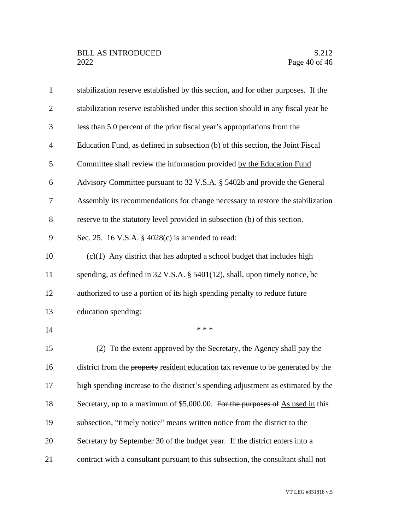| $\mathbf{1}$   | stabilization reserve established by this section, and for other purposes. If the |
|----------------|-----------------------------------------------------------------------------------|
| $\overline{2}$ | stabilization reserve established under this section should in any fiscal year be |
| 3              | less than 5.0 percent of the prior fiscal year's appropriations from the          |
| $\overline{4}$ | Education Fund, as defined in subsection (b) of this section, the Joint Fiscal    |
| 5              | Committee shall review the information provided by the Education Fund             |
| 6              | Advisory Committee pursuant to 32 V.S.A. § 5402b and provide the General          |
| 7              | Assembly its recommendations for change necessary to restore the stabilization    |
| 8              | reserve to the statutory level provided in subsection (b) of this section.        |
| 9              | Sec. 25. 16 V.S.A. § 4028(c) is amended to read:                                  |
| 10             | $(c)(1)$ Any district that has adopted a school budget that includes high         |
| 11             | spending, as defined in $32$ V.S.A. § $5401(12)$ , shall, upon timely notice, be  |
| 12             | authorized to use a portion of its high spending penalty to reduce future         |
| 13             | education spending:                                                               |
| 14             | * * *                                                                             |
| 15             | (2) To the extent approved by the Secretary, the Agency shall pay the             |
| 16             | district from the property resident education tax revenue to be generated by the  |
| 17             | high spending increase to the district's spending adjustment as estimated by the  |
| 18             | Secretary, up to a maximum of \$5,000.00. For the purposes of As used in this     |
| 19             | subsection, "timely notice" means written notice from the district to the         |
| 20             | Secretary by September 30 of the budget year. If the district enters into a       |
| 21             | contract with a consultant pursuant to this subsection, the consultant shall not  |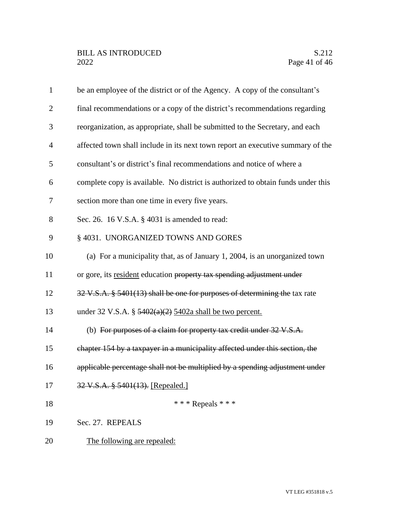| $\mathbf{1}$   | be an employee of the district or of the Agency. A copy of the consultant's      |
|----------------|----------------------------------------------------------------------------------|
| $\overline{2}$ | final recommendations or a copy of the district's recommendations regarding      |
| 3              | reorganization, as appropriate, shall be submitted to the Secretary, and each    |
| $\overline{4}$ | affected town shall include in its next town report an executive summary of the  |
| 5              | consultant's or district's final recommendations and notice of where a           |
| 6              | complete copy is available. No district is authorized to obtain funds under this |
| 7              | section more than one time in every five years.                                  |
| 8              | Sec. 26. 16 V.S.A. § 4031 is amended to read:                                    |
| 9              | § 4031. UNORGANIZED TOWNS AND GORES                                              |
| 10             | (a) For a municipality that, as of January 1, 2004, is an unorganized town       |
| 11             | or gore, its resident education property tax spending adjustment under           |
| 12             | 32 V.S.A. § 5401(13) shall be one for purposes of determining the tax rate       |
| 13             | under 32 V.S.A. § $\frac{5402(a)(2)}{2}$ 5402a shall be two percent.             |
| 14             | (b) For purposes of a claim for property tax credit under 32 V.S.A.              |
| 15             | chapter 154 by a taxpayer in a municipality affected under this section, the     |
| 16             | applicable percentage shall not be multiplied by a spending adjustment under     |
| 17             | 32 V.S.A. § 5401(13). [Repealed.]                                                |
| 18             | *** Repeals ***                                                                  |
| 19             | Sec. 27. REPEALS                                                                 |
| 20             | The following are repealed:                                                      |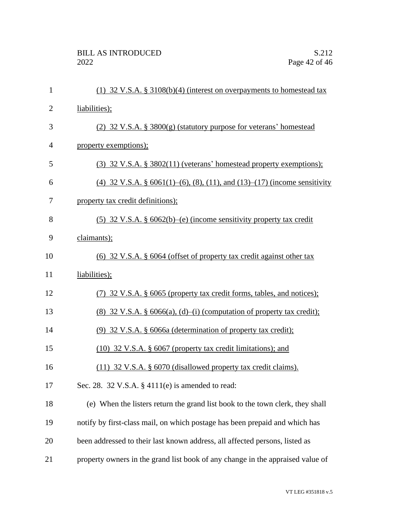| $\mathbf{1}$   | (1) 32 V.S.A. § 3108(b)(4) (interest on overpayments to homestead tax           |
|----------------|---------------------------------------------------------------------------------|
| $\overline{2}$ | liabilities);                                                                   |
| 3              | (2) $32 \text{ V.S.A. }$ § $3800(g)$ (statutory purpose for veterans' homestead |
| $\overline{4}$ | property exemptions);                                                           |
| 5              | $(3)$ 32 V.S.A. § 3802(11) (veterans' homestead property exemptions);           |
| 6              | (4) 32 V.S.A. § $6061(1)–(6)$ , (8), (11), and (13)–(17) (income sensitivity    |
| 7              | property tax credit definitions);                                               |
| 8              | (5) 32 V.S.A. § $6062(b)$ –(e) (income sensitivity property tax credit          |
| 9              | claimants);                                                                     |
| 10             | $(6)$ 32 V.S.A. § 6064 (offset of property tax credit against other tax         |
| 11             | liabilities);                                                                   |
| 12             | (7) 32 V.S.A. § 6065 (property tax credit forms, tables, and notices);          |
| 13             | $(8)$ 32 V.S.A. § 6066(a), (d)–(i) (computation of property tax credit);        |
| 14             | (9) 32 V.S.A. § 6066a (determination of property tax credit);                   |
| 15             | $(10)$ 32 V.S.A. § 6067 (property tax credit limitations); and                  |
| 16             | (11) 32 V.S.A. § 6070 (disallowed property tax credit claims).                  |
| 17             | Sec. 28. 32 V.S.A. § 4111(e) is amended to read:                                |
| 18             | (e) When the listers return the grand list book to the town clerk, they shall   |
| 19             | notify by first-class mail, on which postage has been prepaid and which has     |
| 20             | been addressed to their last known address, all affected persons, listed as     |
| 21             | property owners in the grand list book of any change in the appraised value of  |
|                |                                                                                 |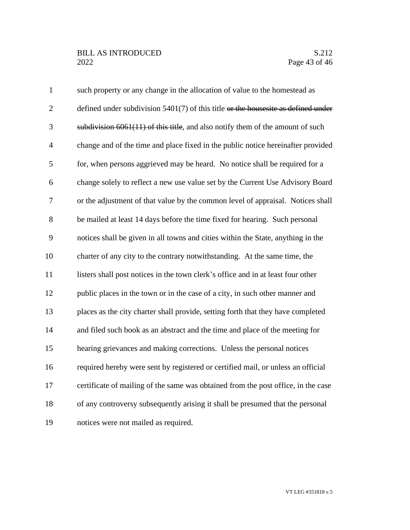| $\mathbf{1}$   | such property or any change in the allocation of value to the homestead as           |
|----------------|--------------------------------------------------------------------------------------|
| $\mathbf{2}$   | defined under subdivision $5401(7)$ of this title or the houses ite as defined under |
| 3              | subdivision $6061(11)$ of this title, and also notify them of the amount of such     |
| $\overline{4}$ | change and of the time and place fixed in the public notice hereinafter provided     |
| 5              | for, when persons aggrieved may be heard. No notice shall be required for a          |
| 6              | change solely to reflect a new use value set by the Current Use Advisory Board       |
| $\tau$         | or the adjustment of that value by the common level of appraisal. Notices shall      |
| 8              | be mailed at least 14 days before the time fixed for hearing. Such personal          |
| 9              | notices shall be given in all towns and cities within the State, anything in the     |
| 10             | charter of any city to the contrary notwithstanding. At the same time, the           |
| 11             | listers shall post notices in the town clerk's office and in at least four other     |
| 12             | public places in the town or in the case of a city, in such other manner and         |
| 13             | places as the city charter shall provide, setting forth that they have completed     |
| 14             | and filed such book as an abstract and the time and place of the meeting for         |
| 15             | hearing grievances and making corrections. Unless the personal notices               |
| 16             | required hereby were sent by registered or certified mail, or unless an official     |
| 17             | certificate of mailing of the same was obtained from the post office, in the case    |
| 18             | of any controversy subsequently arising it shall be presumed that the personal       |
| 19             | notices were not mailed as required.                                                 |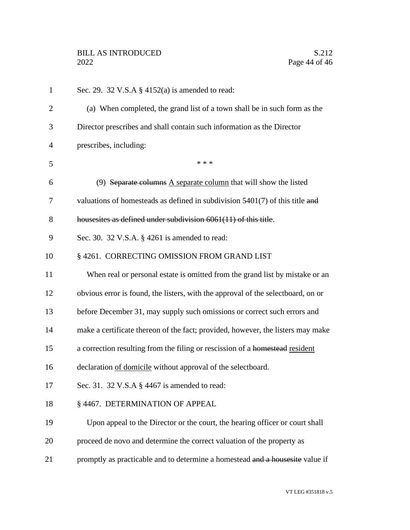| $\mathbf{1}$   | Sec. 29. 32 V.S.A $\S$ 4152(a) is amended to read:                               |
|----------------|----------------------------------------------------------------------------------|
| $\overline{2}$ | (a) When completed, the grand list of a town shall be in such form as the        |
| 3              | Director prescribes and shall contain such information as the Director           |
| 4              | prescribes, including:                                                           |
| 5              | * * *                                                                            |
| 6              | (9) Separate columns $\overline{A}$ separate column that will show the listed    |
| 7              | valuations of homesteads as defined in subdivision $5401(7)$ of this title and   |
| 8              | housesites as defined under subdivision 6061(11) of this title.                  |
| 9              | Sec. 30. 32 V.S.A. § 4261 is amended to read:                                    |
| 10             | § 4261. CORRECTING OMISSION FROM GRAND LIST                                      |
| 11             | When real or personal estate is omitted from the grand list by mistake or an     |
| 12             | obvious error is found, the listers, with the approval of the selectboard, on or |
| 13             | before December 31, may supply such omissions or correct such errors and         |
| 14             | make a certificate thereon of the fact; provided, however, the listers may make  |
| 15             | a correction resulting from the filing or rescission of a homestead resident     |
| 16             | declaration of domicile without approval of the selectboard.                     |
| 17             | Sec. 31. 32 V.S.A $\S$ 4467 is amended to read:                                  |
| 18             | § 4467. DETERMINATION OF APPEAL                                                  |
| 19             | Upon appeal to the Director or the court, the hearing officer or court shall     |
| 20             | proceed de novo and determine the correct valuation of the property as           |
| 21             | promptly as practicable and to determine a homestead and a housesite value if    |
|                |                                                                                  |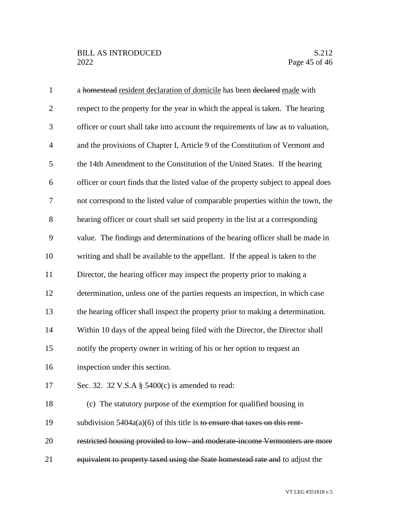| $\mathbf{1}$   | a homestead resident declaration of domicile has been declared made with            |
|----------------|-------------------------------------------------------------------------------------|
| $\overline{2}$ | respect to the property for the year in which the appeal is taken. The hearing      |
| 3              | officer or court shall take into account the requirements of law as to valuation,   |
| $\overline{4}$ | and the provisions of Chapter I, Article 9 of the Constitution of Vermont and       |
| 5              | the 14th Amendment to the Constitution of the United States. If the hearing         |
| 6              | officer or court finds that the listed value of the property subject to appeal does |
| 7              | not correspond to the listed value of comparable properties within the town, the    |
| 8              | hearing officer or court shall set said property in the list at a corresponding     |
| 9              | value. The findings and determinations of the hearing officer shall be made in      |
| 10             | writing and shall be available to the appellant. If the appeal is taken to the      |
| 11             | Director, the hearing officer may inspect the property prior to making a            |
| 12             | determination, unless one of the parties requests an inspection, in which case      |
| 13             | the hearing officer shall inspect the property prior to making a determination.     |
| 14             | Within 10 days of the appeal being filed with the Director, the Director shall      |
| 15             | notify the property owner in writing of his or her option to request an             |
| 16             | inspection under this section.                                                      |
| 17             | Sec. 32. 32 V.S.A $\S$ 5400(c) is amended to read:                                  |
| 18             | (c) The statutory purpose of the exemption for qualified housing in                 |
| 19             | subdivision $5404a(a)(6)$ of this title is to ensure that taxes on this rent-       |
| 20             | restricted housing provided to low- and moderate-income Vermonters are more         |
| 21             | equivalent to property taxed using the State homestead rate and to adjust the       |